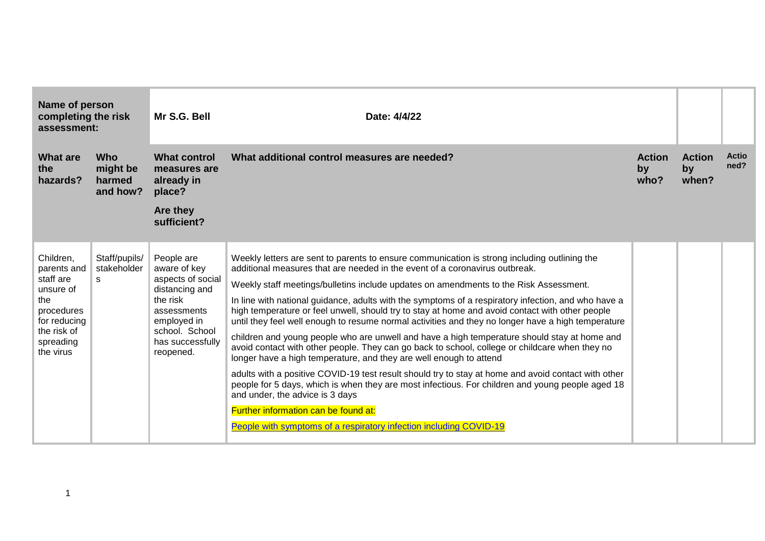| Name of person<br>completing the risk<br>assessment:                                                                             |                                              | Mr S.G. Bell                                                                                                                                                   | Date: 4/4/22                                                                                                                                                                                                                                                                                                                                                                                                                                                                                                                                                                                                                                                                                                                                                                                                                                                                                                                                                                                                                                                                                                                                                                                                             |                             |                              |                      |
|----------------------------------------------------------------------------------------------------------------------------------|----------------------------------------------|----------------------------------------------------------------------------------------------------------------------------------------------------------------|--------------------------------------------------------------------------------------------------------------------------------------------------------------------------------------------------------------------------------------------------------------------------------------------------------------------------------------------------------------------------------------------------------------------------------------------------------------------------------------------------------------------------------------------------------------------------------------------------------------------------------------------------------------------------------------------------------------------------------------------------------------------------------------------------------------------------------------------------------------------------------------------------------------------------------------------------------------------------------------------------------------------------------------------------------------------------------------------------------------------------------------------------------------------------------------------------------------------------|-----------------------------|------------------------------|----------------------|
| <b>What are</b><br>the<br>hazards?                                                                                               | <b>Who</b><br>might be<br>harmed<br>and how? | <b>What control</b><br>measures are<br>already in<br>place?                                                                                                    | What additional control measures are needed?                                                                                                                                                                                                                                                                                                                                                                                                                                                                                                                                                                                                                                                                                                                                                                                                                                                                                                                                                                                                                                                                                                                                                                             | <b>Action</b><br>by<br>who? | <b>Action</b><br>by<br>when? | <b>Actio</b><br>ned? |
|                                                                                                                                  |                                              | Are they<br>sufficient?                                                                                                                                        |                                                                                                                                                                                                                                                                                                                                                                                                                                                                                                                                                                                                                                                                                                                                                                                                                                                                                                                                                                                                                                                                                                                                                                                                                          |                             |                              |                      |
| Children,<br>parents and<br>staff are<br>unsure of<br>the<br>procedures<br>for reducing<br>the risk of<br>spreading<br>the virus | Staff/pupils/<br>stakeholder<br>S.           | People are<br>aware of key<br>aspects of social<br>distancing and<br>the risk<br>assessments<br>employed in<br>school. School<br>has successfully<br>reopened. | Weekly letters are sent to parents to ensure communication is strong including outlining the<br>additional measures that are needed in the event of a coronavirus outbreak.<br>Weekly staff meetings/bulletins include updates on amendments to the Risk Assessment.<br>In line with national guidance, adults with the symptoms of a respiratory infection, and who have a<br>high temperature or feel unwell, should try to stay at home and avoid contact with other people<br>until they feel well enough to resume normal activities and they no longer have a high temperature<br>children and young people who are unwell and have a high temperature should stay at home and<br>avoid contact with other people. They can go back to school, college or childcare when they no<br>longer have a high temperature, and they are well enough to attend<br>adults with a positive COVID-19 test result should try to stay at home and avoid contact with other<br>people for 5 days, which is when they are most infectious. For children and young people aged 18<br>and under, the advice is 3 days<br>Further information can be found at:<br>People with symptoms of a respiratory infection including COVID-19 |                             |                              |                      |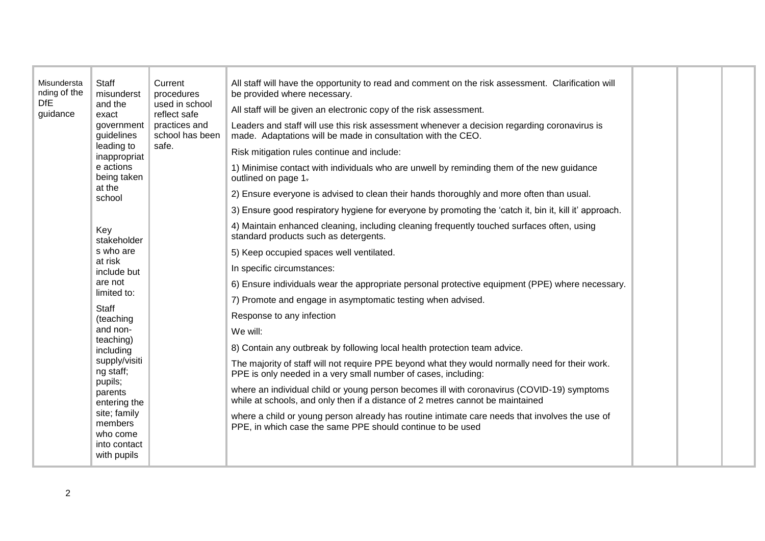| Misundersta<br>nding of the<br><b>DfE</b><br>guidance | <b>Staff</b><br>misunderst<br>and the<br>exact<br>government<br>guidelines<br>leading to<br>inappropriat<br>e actions<br>being taken<br>at the<br>school<br>Key<br>stakeholder<br>s who are<br>at risk<br>include but<br>are not<br>limited to:<br>Staff<br>(teaching<br>and non-<br>teaching)<br>including<br>supply/visiti<br>ng staff;<br>pupils;<br>parents<br>entering the<br>site; family<br>members<br>who come<br>into contact<br>with pupils | Current<br>procedures<br>used in school<br>reflect safe<br>practices and<br>school has been<br>safe. | All staff will have the opportunity to read and comment on the risk assessment. Clarification will<br>be provided where necessary.<br>All staff will be given an electronic copy of the risk assessment.<br>Leaders and staff will use this risk assessment whenever a decision regarding coronavirus is<br>made. Adaptations will be made in consultation with the CEO.<br>Risk mitigation rules continue and include:<br>1) Minimise contact with individuals who are unwell by reminding them of the new guidance<br>outlined on page 1.<br>2) Ensure everyone is advised to clean their hands thoroughly and more often than usual.<br>3) Ensure good respiratory hygiene for everyone by promoting the 'catch it, bin it, kill it' approach.<br>4) Maintain enhanced cleaning, including cleaning frequently touched surfaces often, using<br>standard products such as detergents.<br>5) Keep occupied spaces well ventilated.<br>In specific circumstances:<br>6) Ensure individuals wear the appropriate personal protective equipment (PPE) where necessary.<br>7) Promote and engage in asymptomatic testing when advised.<br>Response to any infection<br>We will:<br>8) Contain any outbreak by following local health protection team advice.<br>The majority of staff will not require PPE beyond what they would normally need for their work.<br>PPE is only needed in a very small number of cases, including:<br>where an individual child or young person becomes ill with coronavirus (COVID-19) symptoms<br>while at schools, and only then if a distance of 2 metres cannot be maintained<br>where a child or young person already has routine intimate care needs that involves the use of<br>PPE, in which case the same PPE should continue to be used |  |  |  |
|-------------------------------------------------------|-------------------------------------------------------------------------------------------------------------------------------------------------------------------------------------------------------------------------------------------------------------------------------------------------------------------------------------------------------------------------------------------------------------------------------------------------------|------------------------------------------------------------------------------------------------------|---------------------------------------------------------------------------------------------------------------------------------------------------------------------------------------------------------------------------------------------------------------------------------------------------------------------------------------------------------------------------------------------------------------------------------------------------------------------------------------------------------------------------------------------------------------------------------------------------------------------------------------------------------------------------------------------------------------------------------------------------------------------------------------------------------------------------------------------------------------------------------------------------------------------------------------------------------------------------------------------------------------------------------------------------------------------------------------------------------------------------------------------------------------------------------------------------------------------------------------------------------------------------------------------------------------------------------------------------------------------------------------------------------------------------------------------------------------------------------------------------------------------------------------------------------------------------------------------------------------------------------------------------------------------------------------------------------------------------------------------------------------------------------|--|--|--|
|-------------------------------------------------------|-------------------------------------------------------------------------------------------------------------------------------------------------------------------------------------------------------------------------------------------------------------------------------------------------------------------------------------------------------------------------------------------------------------------------------------------------------|------------------------------------------------------------------------------------------------------|---------------------------------------------------------------------------------------------------------------------------------------------------------------------------------------------------------------------------------------------------------------------------------------------------------------------------------------------------------------------------------------------------------------------------------------------------------------------------------------------------------------------------------------------------------------------------------------------------------------------------------------------------------------------------------------------------------------------------------------------------------------------------------------------------------------------------------------------------------------------------------------------------------------------------------------------------------------------------------------------------------------------------------------------------------------------------------------------------------------------------------------------------------------------------------------------------------------------------------------------------------------------------------------------------------------------------------------------------------------------------------------------------------------------------------------------------------------------------------------------------------------------------------------------------------------------------------------------------------------------------------------------------------------------------------------------------------------------------------------------------------------------------------|--|--|--|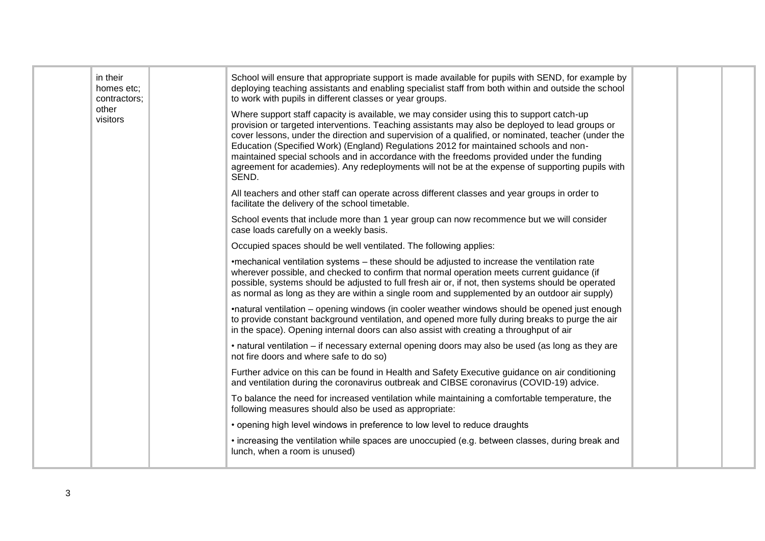| in their<br>homes etc;<br>contractors;<br>other<br>visitors | School will ensure that appropriate support is made available for pupils with SEND, for example by<br>deploying teaching assistants and enabling specialist staff from both within and outside the school<br>to work with pupils in different classes or year groups.<br>Where support staff capacity is available, we may consider using this to support catch-up<br>provision or targeted interventions. Teaching assistants may also be deployed to lead groups or<br>cover lessons, under the direction and supervision of a qualified, or nominated, teacher (under the<br>Education (Specified Work) (England) Regulations 2012 for maintained schools and non-<br>maintained special schools and in accordance with the freedoms provided under the funding<br>agreement for academies). Any redeployments will not be at the expense of supporting pupils with<br>SEND.<br>All teachers and other staff can operate across different classes and year groups in order to<br>facilitate the delivery of the school timetable.<br>School events that include more than 1 year group can now recommence but we will consider<br>case loads carefully on a weekly basis.<br>Occupied spaces should be well ventilated. The following applies:<br>•mechanical ventilation systems - these should be adjusted to increase the ventilation rate<br>wherever possible, and checked to confirm that normal operation meets current guidance (if<br>possible, systems should be adjusted to full fresh air or, if not, then systems should be operated<br>as normal as long as they are within a single room and supplemented by an outdoor air supply)<br>•natural ventilation – opening windows (in cooler weather windows should be opened just enough<br>to provide constant background ventilation, and opened more fully during breaks to purge the air<br>in the space). Opening internal doors can also assist with creating a throughput of air<br>• natural ventilation – if necessary external opening doors may also be used (as long as they are<br>not fire doors and where safe to do so)<br>Further advice on this can be found in Health and Safety Executive guidance on air conditioning<br>and ventilation during the coronavirus outbreak and CIBSE coronavirus (COVID-19) advice.<br>To balance the need for increased ventilation while maintaining a comfortable temperature, the<br>following measures should also be used as appropriate:<br>• opening high level windows in preference to low level to reduce draughts |  |  |
|-------------------------------------------------------------|-------------------------------------------------------------------------------------------------------------------------------------------------------------------------------------------------------------------------------------------------------------------------------------------------------------------------------------------------------------------------------------------------------------------------------------------------------------------------------------------------------------------------------------------------------------------------------------------------------------------------------------------------------------------------------------------------------------------------------------------------------------------------------------------------------------------------------------------------------------------------------------------------------------------------------------------------------------------------------------------------------------------------------------------------------------------------------------------------------------------------------------------------------------------------------------------------------------------------------------------------------------------------------------------------------------------------------------------------------------------------------------------------------------------------------------------------------------------------------------------------------------------------------------------------------------------------------------------------------------------------------------------------------------------------------------------------------------------------------------------------------------------------------------------------------------------------------------------------------------------------------------------------------------------------------------------------------------------------------------------------------------------------------------------------------------------------------------------------------------------------------------------------------------------------------------------------------------------------------------------------------------------------------------------------------------------------------------------------------------------------------------------------------------------------------------------------------------------------------------------------------------------------------------------------|--|--|
|                                                             | • increasing the ventilation while spaces are unoccupied (e.g. between classes, during break and<br>lunch, when a room is unused)                                                                                                                                                                                                                                                                                                                                                                                                                                                                                                                                                                                                                                                                                                                                                                                                                                                                                                                                                                                                                                                                                                                                                                                                                                                                                                                                                                                                                                                                                                                                                                                                                                                                                                                                                                                                                                                                                                                                                                                                                                                                                                                                                                                                                                                                                                                                                                                                               |  |  |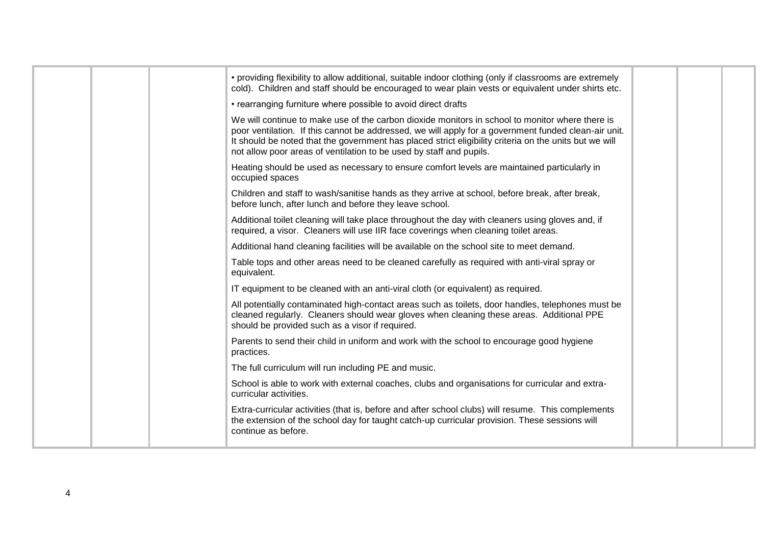|  | • providing flexibility to allow additional, suitable indoor clothing (only if classrooms are extremely<br>cold). Children and staff should be encouraged to wear plain vests or equivalent under shirts etc.                                                                                                                                                                            |  |  |
|--|------------------------------------------------------------------------------------------------------------------------------------------------------------------------------------------------------------------------------------------------------------------------------------------------------------------------------------------------------------------------------------------|--|--|
|  | • rearranging furniture where possible to avoid direct drafts                                                                                                                                                                                                                                                                                                                            |  |  |
|  | We will continue to make use of the carbon dioxide monitors in school to monitor where there is<br>poor ventilation. If this cannot be addressed, we will apply for a government funded clean-air unit.<br>It should be noted that the government has placed strict eligibility criteria on the units but we will<br>not allow poor areas of ventilation to be used by staff and pupils. |  |  |
|  | Heating should be used as necessary to ensure comfort levels are maintained particularly in<br>occupied spaces                                                                                                                                                                                                                                                                           |  |  |
|  | Children and staff to wash/sanitise hands as they arrive at school, before break, after break,<br>before lunch, after lunch and before they leave school.                                                                                                                                                                                                                                |  |  |
|  | Additional toilet cleaning will take place throughout the day with cleaners using gloves and, if<br>required, a visor. Cleaners will use IIR face coverings when cleaning toilet areas.                                                                                                                                                                                                  |  |  |
|  | Additional hand cleaning facilities will be available on the school site to meet demand.                                                                                                                                                                                                                                                                                                 |  |  |
|  | Table tops and other areas need to be cleaned carefully as required with anti-viral spray or<br>equivalent.                                                                                                                                                                                                                                                                              |  |  |
|  | IT equipment to be cleaned with an anti-viral cloth (or equivalent) as required.                                                                                                                                                                                                                                                                                                         |  |  |
|  | All potentially contaminated high-contact areas such as toilets, door handles, telephones must be<br>cleaned regularly. Cleaners should wear gloves when cleaning these areas. Additional PPE<br>should be provided such as a visor if required.                                                                                                                                         |  |  |
|  | Parents to send their child in uniform and work with the school to encourage good hygiene<br>practices.                                                                                                                                                                                                                                                                                  |  |  |
|  | The full curriculum will run including PE and music.                                                                                                                                                                                                                                                                                                                                     |  |  |
|  | School is able to work with external coaches, clubs and organisations for curricular and extra-<br>curricular activities.                                                                                                                                                                                                                                                                |  |  |
|  | Extra-curricular activities (that is, before and after school clubs) will resume. This complements<br>the extension of the school day for taught catch-up curricular provision. These sessions will<br>continue as before.                                                                                                                                                               |  |  |
|  |                                                                                                                                                                                                                                                                                                                                                                                          |  |  |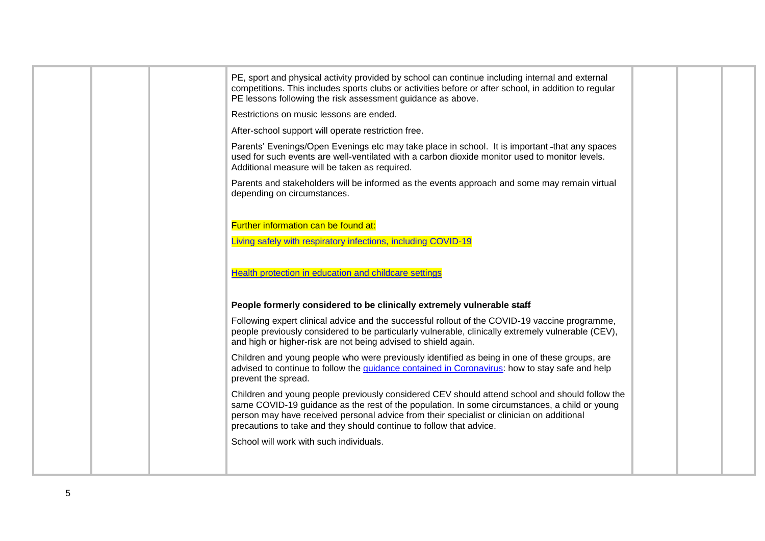|  | PE, sport and physical activity provided by school can continue including internal and external<br>competitions. This includes sports clubs or activities before or after school, in addition to regular<br>PE lessons following the risk assessment guidance as above.                                                                                             |  |  |
|--|---------------------------------------------------------------------------------------------------------------------------------------------------------------------------------------------------------------------------------------------------------------------------------------------------------------------------------------------------------------------|--|--|
|  | Restrictions on music lessons are ended.                                                                                                                                                                                                                                                                                                                            |  |  |
|  | After-school support will operate restriction free.                                                                                                                                                                                                                                                                                                                 |  |  |
|  | Parents' Evenings/Open Evenings etc may take place in school. It is important -that any spaces<br>used for such events are well-ventilated with a carbon dioxide monitor used to monitor levels.<br>Additional measure will be taken as required.                                                                                                                   |  |  |
|  | Parents and stakeholders will be informed as the events approach and some may remain virtual<br>depending on circumstances.                                                                                                                                                                                                                                         |  |  |
|  | Further information can be found at:                                                                                                                                                                                                                                                                                                                                |  |  |
|  | Living safely with respiratory infections, including COVID-19                                                                                                                                                                                                                                                                                                       |  |  |
|  | Health protection in education and childcare settings                                                                                                                                                                                                                                                                                                               |  |  |
|  | People formerly considered to be clinically extremely vulnerable staff                                                                                                                                                                                                                                                                                              |  |  |
|  | Following expert clinical advice and the successful rollout of the COVID-19 vaccine programme,<br>people previously considered to be particularly vulnerable, clinically extremely vulnerable (CEV),<br>and high or higher-risk are not being advised to shield again.                                                                                              |  |  |
|  | Children and young people who were previously identified as being in one of these groups, are<br>advised to continue to follow the guidance contained in Coronavirus: how to stay safe and help<br>prevent the spread.                                                                                                                                              |  |  |
|  | Children and young people previously considered CEV should attend school and should follow the<br>same COVID-19 guidance as the rest of the population. In some circumstances, a child or young<br>person may have received personal advice from their specialist or clinician on additional<br>precautions to take and they should continue to follow that advice. |  |  |
|  | School will work with such individuals.                                                                                                                                                                                                                                                                                                                             |  |  |
|  |                                                                                                                                                                                                                                                                                                                                                                     |  |  |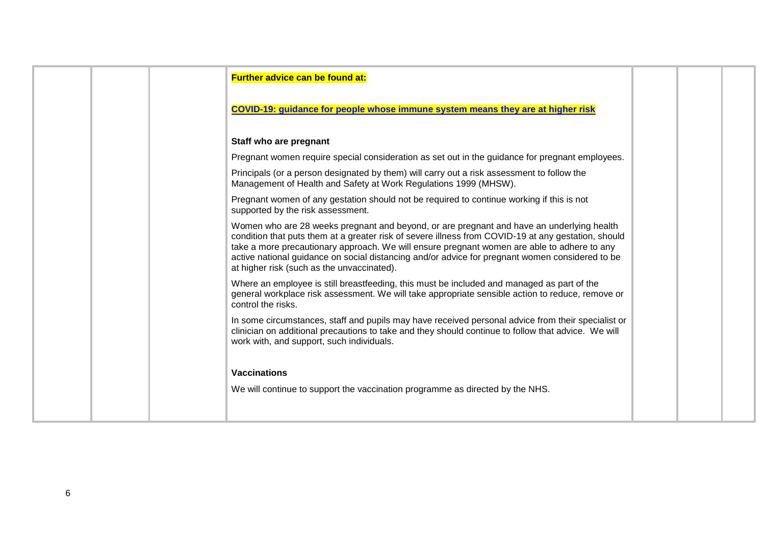| <b>Further advice can be found at:</b>                                                                                                                                                                                                                                                                                                                                                                                                           |  |  |
|--------------------------------------------------------------------------------------------------------------------------------------------------------------------------------------------------------------------------------------------------------------------------------------------------------------------------------------------------------------------------------------------------------------------------------------------------|--|--|
| COVID-19: guidance for people whose immune system means they are at higher risk                                                                                                                                                                                                                                                                                                                                                                  |  |  |
| Staff who are pregnant                                                                                                                                                                                                                                                                                                                                                                                                                           |  |  |
| Pregnant women require special consideration as set out in the guidance for pregnant employees.                                                                                                                                                                                                                                                                                                                                                  |  |  |
| Principals (or a person designated by them) will carry out a risk assessment to follow the<br>Management of Health and Safety at Work Regulations 1999 (MHSW).                                                                                                                                                                                                                                                                                   |  |  |
| Pregnant women of any gestation should not be required to continue working if this is not<br>supported by the risk assessment.                                                                                                                                                                                                                                                                                                                   |  |  |
| Women who are 28 weeks pregnant and beyond, or are pregnant and have an underlying health<br>condition that puts them at a greater risk of severe illness from COVID-19 at any gestation, should<br>take a more precautionary approach. We will ensure pregnant women are able to adhere to any<br>active national guidance on social distancing and/or advice for pregnant women considered to be<br>at higher risk (such as the unvaccinated). |  |  |
| Where an employee is still breastfeeding, this must be included and managed as part of the<br>general workplace risk assessment. We will take appropriate sensible action to reduce, remove or<br>control the risks.                                                                                                                                                                                                                             |  |  |
| In some circumstances, staff and pupils may have received personal advice from their specialist or<br>clinician on additional precautions to take and they should continue to follow that advice. We will<br>work with, and support, such individuals.                                                                                                                                                                                           |  |  |
| <b>Vaccinations</b>                                                                                                                                                                                                                                                                                                                                                                                                                              |  |  |
| We will continue to support the vaccination programme as directed by the NHS.                                                                                                                                                                                                                                                                                                                                                                    |  |  |
|                                                                                                                                                                                                                                                                                                                                                                                                                                                  |  |  |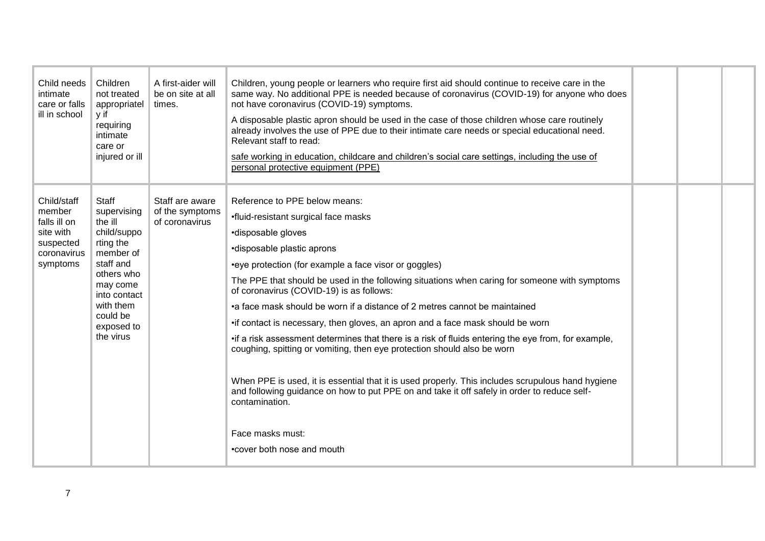| Child needs<br>intimate<br>care or falls<br>ill in school                                  | Children<br>not treated<br>appropriatel<br>y if<br>requiring<br>intimate<br>care or<br>injured or ill                                                                               | A first-aider will<br>be on site at all<br>times.    | Children, young people or learners who require first aid should continue to receive care in the<br>same way. No additional PPE is needed because of coronavirus (COVID-19) for anyone who does<br>not have coronavirus (COVID-19) symptoms.<br>A disposable plastic apron should be used in the case of those children whose care routinely<br>already involves the use of PPE due to their intimate care needs or special educational need.<br>Relevant staff to read:<br>safe working in education, childcare and children's social care settings, including the use of<br>personal protective equipment (PPE)                                                                                                                                                                                                                                                                                                                                            |  |  |
|--------------------------------------------------------------------------------------------|-------------------------------------------------------------------------------------------------------------------------------------------------------------------------------------|------------------------------------------------------|-------------------------------------------------------------------------------------------------------------------------------------------------------------------------------------------------------------------------------------------------------------------------------------------------------------------------------------------------------------------------------------------------------------------------------------------------------------------------------------------------------------------------------------------------------------------------------------------------------------------------------------------------------------------------------------------------------------------------------------------------------------------------------------------------------------------------------------------------------------------------------------------------------------------------------------------------------------|--|--|
| Child/staff<br>member<br>falls ill on<br>site with<br>suspected<br>coronavirus<br>symptoms | Staff<br>supervising<br>the ill<br>child/suppo<br>rting the<br>member of<br>staff and<br>others who<br>may come<br>into contact<br>with them<br>could be<br>exposed to<br>the virus | Staff are aware<br>of the symptoms<br>of coronavirus | Reference to PPE below means:<br>•fluid-resistant surgical face masks<br>·disposable gloves<br>•disposable plastic aprons<br>•eye protection (for example a face visor or goggles)<br>The PPE that should be used in the following situations when caring for someone with symptoms<br>of coronavirus (COVID-19) is as follows:<br>•a face mask should be worn if a distance of 2 metres cannot be maintained<br>• if contact is necessary, then gloves, an apron and a face mask should be worn<br>• if a risk assessment determines that there is a risk of fluids entering the eye from, for example,<br>coughing, spitting or vomiting, then eye protection should also be worn<br>When PPE is used, it is essential that it is used properly. This includes scrupulous hand hygiene<br>and following guidance on how to put PPE on and take it off safely in order to reduce self-<br>contamination.<br>Face masks must:<br>•cover both nose and mouth |  |  |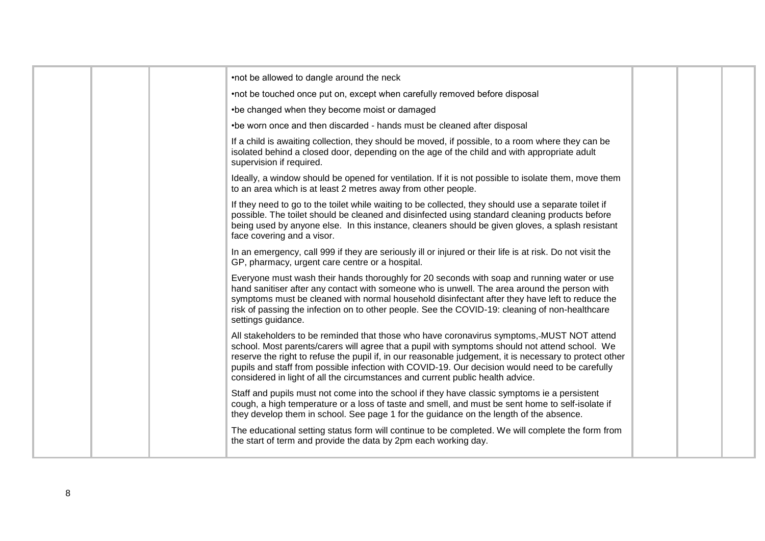|  | •not be allowed to dangle around the neck                                                                                                                                                                                                                                                                                                                                                                                                                                                   |  |  |
|--|---------------------------------------------------------------------------------------------------------------------------------------------------------------------------------------------------------------------------------------------------------------------------------------------------------------------------------------------------------------------------------------------------------------------------------------------------------------------------------------------|--|--|
|  | •not be touched once put on, except when carefully removed before disposal                                                                                                                                                                                                                                                                                                                                                                                                                  |  |  |
|  | •be changed when they become moist or damaged                                                                                                                                                                                                                                                                                                                                                                                                                                               |  |  |
|  | •be worn once and then discarded - hands must be cleaned after disposal                                                                                                                                                                                                                                                                                                                                                                                                                     |  |  |
|  | If a child is awaiting collection, they should be moved, if possible, to a room where they can be<br>isolated behind a closed door, depending on the age of the child and with appropriate adult<br>supervision if required.                                                                                                                                                                                                                                                                |  |  |
|  | Ideally, a window should be opened for ventilation. If it is not possible to isolate them, move them<br>to an area which is at least 2 metres away from other people.                                                                                                                                                                                                                                                                                                                       |  |  |
|  | If they need to go to the toilet while waiting to be collected, they should use a separate toilet if<br>possible. The toilet should be cleaned and disinfected using standard cleaning products before<br>being used by anyone else. In this instance, cleaners should be given gloves, a splash resistant<br>face covering and a visor.                                                                                                                                                    |  |  |
|  | In an emergency, call 999 if they are seriously ill or injured or their life is at risk. Do not visit the<br>GP, pharmacy, urgent care centre or a hospital.                                                                                                                                                                                                                                                                                                                                |  |  |
|  | Everyone must wash their hands thoroughly for 20 seconds with soap and running water or use<br>hand sanitiser after any contact with someone who is unwell. The area around the person with<br>symptoms must be cleaned with normal household disinfectant after they have left to reduce the<br>risk of passing the infection on to other people. See the COVID-19: cleaning of non-healthcare<br>settings guidance.                                                                       |  |  |
|  | All stakeholders to be reminded that those who have coronavirus symptoms,-MUST NOT attend<br>school. Most parents/carers will agree that a pupil with symptoms should not attend school. We<br>reserve the right to refuse the pupil if, in our reasonable judgement, it is necessary to protect other<br>pupils and staff from possible infection with COVID-19. Our decision would need to be carefully<br>considered in light of all the circumstances and current public health advice. |  |  |
|  | Staff and pupils must not come into the school if they have classic symptoms ie a persistent<br>cough, a high temperature or a loss of taste and smell, and must be sent home to self-isolate if<br>they develop them in school. See page 1 for the guidance on the length of the absence.                                                                                                                                                                                                  |  |  |
|  | The educational setting status form will continue to be completed. We will complete the form from<br>the start of term and provide the data by 2pm each working day.                                                                                                                                                                                                                                                                                                                        |  |  |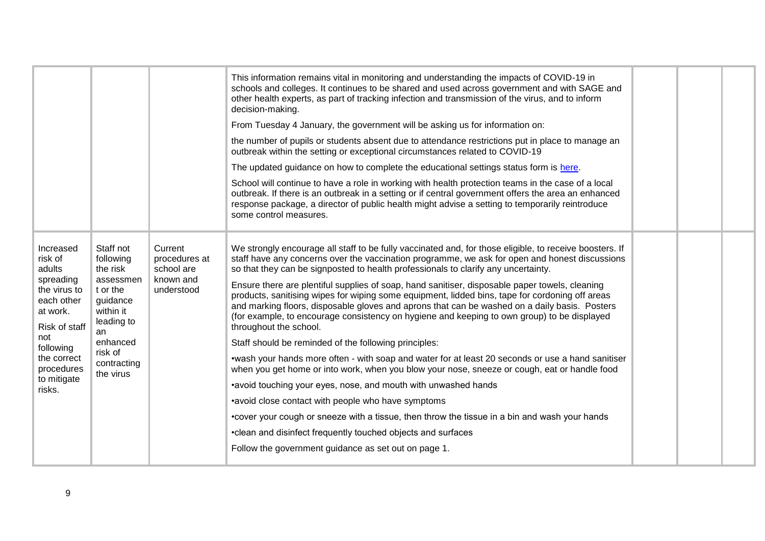|                                                                                                                                                                                        |                                                                                                                                                       |                                                                   | This information remains vital in monitoring and understanding the impacts of COVID-19 in<br>schools and colleges. It continues to be shared and used across government and with SAGE and<br>other health experts, as part of tracking infection and transmission of the virus, and to inform<br>decision-making.<br>From Tuesday 4 January, the government will be asking us for information on:<br>the number of pupils or students absent due to attendance restrictions put in place to manage an<br>outbreak within the setting or exceptional circumstances related to COVID-19<br>The updated guidance on how to complete the educational settings status form is here.<br>School will continue to have a role in working with health protection teams in the case of a local<br>outbreak. If there is an outbreak in a setting or if central government offers the area an enhanced<br>response package, a director of public health might advise a setting to temporarily reintroduce<br>some control measures.                                                                                                                                                                                                                                                                                                                      |  |  |
|----------------------------------------------------------------------------------------------------------------------------------------------------------------------------------------|-------------------------------------------------------------------------------------------------------------------------------------------------------|-------------------------------------------------------------------|-----------------------------------------------------------------------------------------------------------------------------------------------------------------------------------------------------------------------------------------------------------------------------------------------------------------------------------------------------------------------------------------------------------------------------------------------------------------------------------------------------------------------------------------------------------------------------------------------------------------------------------------------------------------------------------------------------------------------------------------------------------------------------------------------------------------------------------------------------------------------------------------------------------------------------------------------------------------------------------------------------------------------------------------------------------------------------------------------------------------------------------------------------------------------------------------------------------------------------------------------------------------------------------------------------------------------------------------------|--|--|
| Increased<br>risk of<br>adults<br>spreading<br>the virus to<br>each other<br>at work.<br>Risk of staff<br>an<br>not<br>following<br>the correct<br>procedures<br>to mitigate<br>risks. | Staff not<br>following<br>the risk<br>assessmen<br>t or the<br>guidance<br>within it<br>leading to<br>enhanced<br>risk of<br>contracting<br>the virus | Current<br>procedures at<br>school are<br>known and<br>understood | We strongly encourage all staff to be fully vaccinated and, for those eligible, to receive boosters. If<br>staff have any concerns over the vaccination programme, we ask for open and honest discussions<br>so that they can be signposted to health professionals to clarify any uncertainty.<br>Ensure there are plentiful supplies of soap, hand sanitiser, disposable paper towels, cleaning<br>products, sanitising wipes for wiping some equipment, lidded bins, tape for cordoning off areas<br>and marking floors, disposable gloves and aprons that can be washed on a daily basis. Posters<br>(for example, to encourage consistency on hygiene and keeping to own group) to be displayed<br>throughout the school.<br>Staff should be reminded of the following principles:<br>•wash your hands more often - with soap and water for at least 20 seconds or use a hand sanitiser<br>when you get home or into work, when you blow your nose, sneeze or cough, eat or handle food<br>•avoid touching your eyes, nose, and mouth with unwashed hands<br>•avoid close contact with people who have symptoms<br>•cover your cough or sneeze with a tissue, then throw the tissue in a bin and wash your hands<br>•clean and disinfect frequently touched objects and surfaces<br>Follow the government guidance as set out on page 1. |  |  |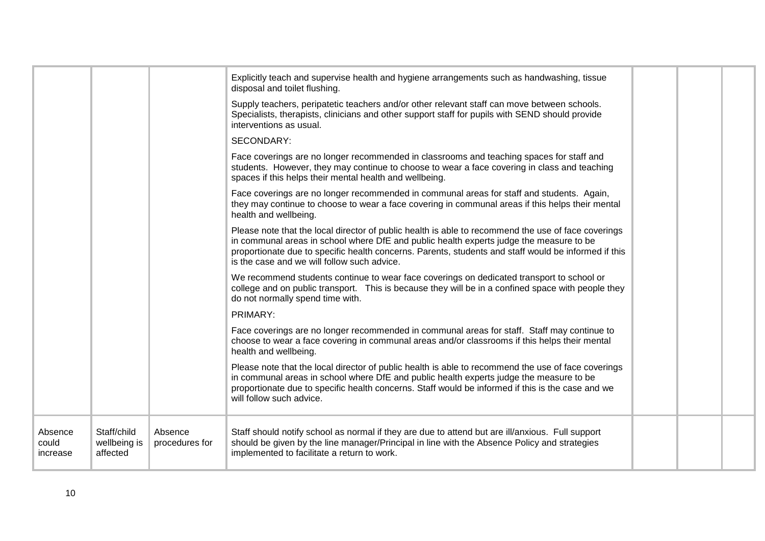|                              |                                         |                           | Explicitly teach and supervise health and hygiene arrangements such as handwashing, tissue<br>disposal and toilet flushing.                                                                                                                                                                                                                           |  |  |
|------------------------------|-----------------------------------------|---------------------------|-------------------------------------------------------------------------------------------------------------------------------------------------------------------------------------------------------------------------------------------------------------------------------------------------------------------------------------------------------|--|--|
|                              |                                         |                           | Supply teachers, peripatetic teachers and/or other relevant staff can move between schools.<br>Specialists, therapists, clinicians and other support staff for pupils with SEND should provide<br>interventions as usual.                                                                                                                             |  |  |
|                              |                                         |                           | SECONDARY:                                                                                                                                                                                                                                                                                                                                            |  |  |
|                              |                                         |                           | Face coverings are no longer recommended in classrooms and teaching spaces for staff and<br>students. However, they may continue to choose to wear a face covering in class and teaching<br>spaces if this helps their mental health and wellbeing.                                                                                                   |  |  |
|                              |                                         |                           | Face coverings are no longer recommended in communal areas for staff and students. Again,<br>they may continue to choose to wear a face covering in communal areas if this helps their mental<br>health and wellbeing.                                                                                                                                |  |  |
|                              |                                         |                           | Please note that the local director of public health is able to recommend the use of face coverings<br>in communal areas in school where DfE and public health experts judge the measure to be<br>proportionate due to specific health concerns. Parents, students and staff would be informed if this<br>is the case and we will follow such advice. |  |  |
|                              |                                         |                           | We recommend students continue to wear face coverings on dedicated transport to school or<br>college and on public transport. This is because they will be in a confined space with people they<br>do not normally spend time with.                                                                                                                   |  |  |
|                              |                                         |                           | PRIMARY:                                                                                                                                                                                                                                                                                                                                              |  |  |
|                              |                                         |                           | Face coverings are no longer recommended in communal areas for staff. Staff may continue to<br>choose to wear a face covering in communal areas and/or classrooms if this helps their mental<br>health and wellbeing.                                                                                                                                 |  |  |
|                              |                                         |                           | Please note that the local director of public health is able to recommend the use of face coverings<br>in communal areas in school where DfE and public health experts judge the measure to be<br>proportionate due to specific health concerns. Staff would be informed if this is the case and we<br>will follow such advice.                       |  |  |
| Absence<br>could<br>increase | Staff/child<br>wellbeing is<br>affected | Absence<br>procedures for | Staff should notify school as normal if they are due to attend but are ill/anxious. Full support<br>should be given by the line manager/Principal in line with the Absence Policy and strategies<br>implemented to facilitate a return to work.                                                                                                       |  |  |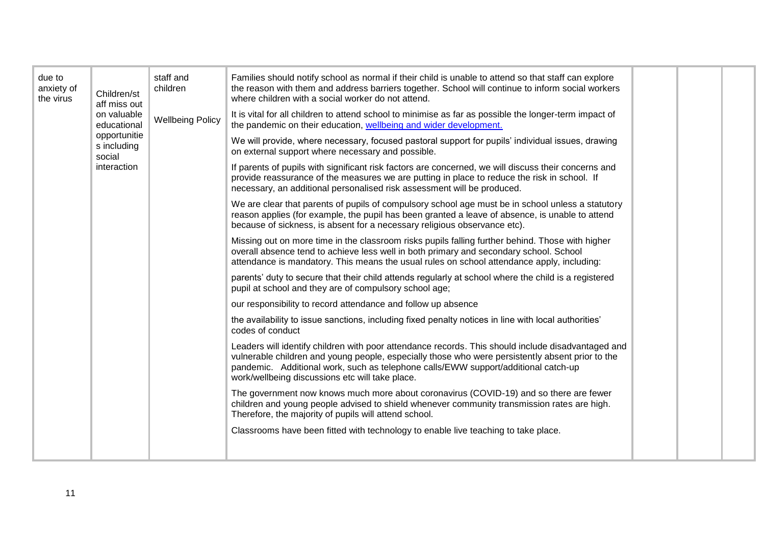| due to<br>anxiety of<br>the virus | Children/st<br>aff miss out           | staff and<br>children   | Families should notify school as normal if their child is unable to attend so that staff can explore<br>the reason with them and address barriers together. School will continue to inform social workers<br>where children with a social worker do not attend.                                                                                 |  |  |
|-----------------------------------|---------------------------------------|-------------------------|-------------------------------------------------------------------------------------------------------------------------------------------------------------------------------------------------------------------------------------------------------------------------------------------------------------------------------------------------|--|--|
|                                   | on valuable<br>educational            | <b>Wellbeing Policy</b> | It is vital for all children to attend school to minimise as far as possible the longer-term impact of<br>the pandemic on their education, wellbeing and wider development.                                                                                                                                                                     |  |  |
|                                   | opportunitie<br>s including<br>social |                         | We will provide, where necessary, focused pastoral support for pupils' individual issues, drawing<br>on external support where necessary and possible.                                                                                                                                                                                          |  |  |
|                                   | interaction                           |                         | If parents of pupils with significant risk factors are concerned, we will discuss their concerns and<br>provide reassurance of the measures we are putting in place to reduce the risk in school. If<br>necessary, an additional personalised risk assessment will be produced.                                                                 |  |  |
|                                   |                                       |                         | We are clear that parents of pupils of compulsory school age must be in school unless a statutory<br>reason applies (for example, the pupil has been granted a leave of absence, is unable to attend<br>because of sickness, is absent for a necessary religious observance etc).                                                               |  |  |
|                                   |                                       |                         | Missing out on more time in the classroom risks pupils falling further behind. Those with higher<br>overall absence tend to achieve less well in both primary and secondary school. School<br>attendance is mandatory. This means the usual rules on school attendance apply, including:                                                        |  |  |
|                                   |                                       |                         | parents' duty to secure that their child attends regularly at school where the child is a registered<br>pupil at school and they are of compulsory school age;                                                                                                                                                                                  |  |  |
|                                   |                                       |                         | our responsibility to record attendance and follow up absence                                                                                                                                                                                                                                                                                   |  |  |
|                                   |                                       |                         | the availability to issue sanctions, including fixed penalty notices in line with local authorities'<br>codes of conduct                                                                                                                                                                                                                        |  |  |
|                                   |                                       |                         | Leaders will identify children with poor attendance records. This should include disadvantaged and<br>vulnerable children and young people, especially those who were persistently absent prior to the<br>pandemic. Additional work, such as telephone calls/EWW support/additional catch-up<br>work/wellbeing discussions etc will take place. |  |  |
|                                   |                                       |                         | The government now knows much more about coronavirus (COVID-19) and so there are fewer<br>children and young people advised to shield whenever community transmission rates are high.<br>Therefore, the majority of pupils will attend school.                                                                                                  |  |  |
|                                   |                                       |                         | Classrooms have been fitted with technology to enable live teaching to take place.                                                                                                                                                                                                                                                              |  |  |
|                                   |                                       |                         |                                                                                                                                                                                                                                                                                                                                                 |  |  |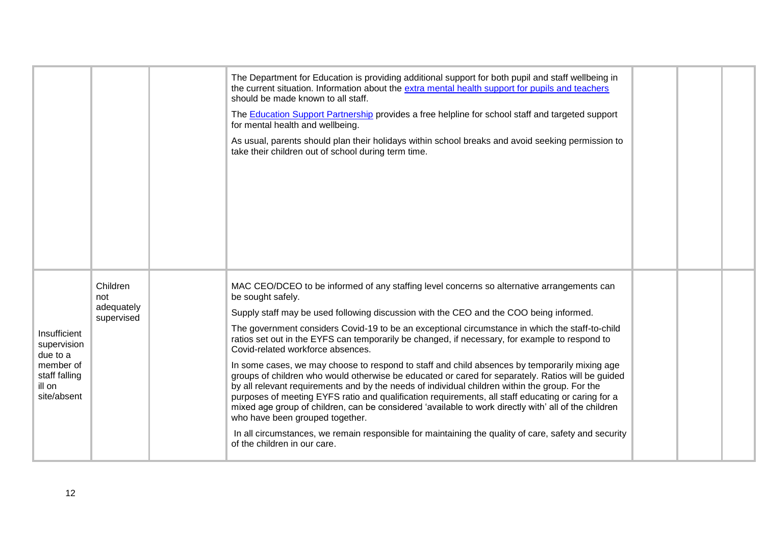|                                                                                                |                 |                                                                                                                                                                                                                                                                                                                                                                                                                                                                                                                                                                                                                                                                                                                                                                                                                                                                                                                                                                                                                            | The Department for Education is providing additional support for both pupil and staff wellbeing in<br>the current situation. Information about the extra mental health support for pupils and teachers<br>should be made known to all staff.<br>The Education Support Partnership provides a free helpline for school staff and targeted support |  |  |
|------------------------------------------------------------------------------------------------|-----------------|----------------------------------------------------------------------------------------------------------------------------------------------------------------------------------------------------------------------------------------------------------------------------------------------------------------------------------------------------------------------------------------------------------------------------------------------------------------------------------------------------------------------------------------------------------------------------------------------------------------------------------------------------------------------------------------------------------------------------------------------------------------------------------------------------------------------------------------------------------------------------------------------------------------------------------------------------------------------------------------------------------------------------|--------------------------------------------------------------------------------------------------------------------------------------------------------------------------------------------------------------------------------------------------------------------------------------------------------------------------------------------------|--|--|
|                                                                                                |                 |                                                                                                                                                                                                                                                                                                                                                                                                                                                                                                                                                                                                                                                                                                                                                                                                                                                                                                                                                                                                                            | for mental health and wellbeing.                                                                                                                                                                                                                                                                                                                 |  |  |
|                                                                                                |                 |                                                                                                                                                                                                                                                                                                                                                                                                                                                                                                                                                                                                                                                                                                                                                                                                                                                                                                                                                                                                                            | As usual, parents should plan their holidays within school breaks and avoid seeking permission to<br>take their children out of school during term time.                                                                                                                                                                                         |  |  |
|                                                                                                |                 |                                                                                                                                                                                                                                                                                                                                                                                                                                                                                                                                                                                                                                                                                                                                                                                                                                                                                                                                                                                                                            |                                                                                                                                                                                                                                                                                                                                                  |  |  |
|                                                                                                | Children<br>not | MAC CEO/DCEO to be informed of any staffing level concerns so alternative arrangements can<br>be sought safely.<br>adequately<br>Supply staff may be used following discussion with the CEO and the COO being informed.<br>The government considers Covid-19 to be an exceptional circumstance in which the staff-to-child<br>ratios set out in the EYFS can temporarily be changed, if necessary, for example to respond to<br>Covid-related workforce absences.<br>In some cases, we may choose to respond to staff and child absences by temporarily mixing age<br>groups of children who would otherwise be educated or cared for separately. Ratios will be guided<br>by all relevant requirements and by the needs of individual children within the group. For the<br>purposes of meeting EYFS ratio and qualification requirements, all staff educating or caring for a<br>mixed age group of children, can be considered 'available to work directly with' all of the children<br>who have been grouped together. |                                                                                                                                                                                                                                                                                                                                                  |  |  |
|                                                                                                | supervised      |                                                                                                                                                                                                                                                                                                                                                                                                                                                                                                                                                                                                                                                                                                                                                                                                                                                                                                                                                                                                                            |                                                                                                                                                                                                                                                                                                                                                  |  |  |
| Insufficient<br>supervision<br>due to a<br>member of<br>staff falling<br>ill on<br>site/absent |                 |                                                                                                                                                                                                                                                                                                                                                                                                                                                                                                                                                                                                                                                                                                                                                                                                                                                                                                                                                                                                                            |                                                                                                                                                                                                                                                                                                                                                  |  |  |
|                                                                                                |                 |                                                                                                                                                                                                                                                                                                                                                                                                                                                                                                                                                                                                                                                                                                                                                                                                                                                                                                                                                                                                                            |                                                                                                                                                                                                                                                                                                                                                  |  |  |
|                                                                                                |                 |                                                                                                                                                                                                                                                                                                                                                                                                                                                                                                                                                                                                                                                                                                                                                                                                                                                                                                                                                                                                                            | In all circumstances, we remain responsible for maintaining the quality of care, safety and security<br>of the children in our care.                                                                                                                                                                                                             |  |  |
|                                                                                                |                 |                                                                                                                                                                                                                                                                                                                                                                                                                                                                                                                                                                                                                                                                                                                                                                                                                                                                                                                                                                                                                            |                                                                                                                                                                                                                                                                                                                                                  |  |  |